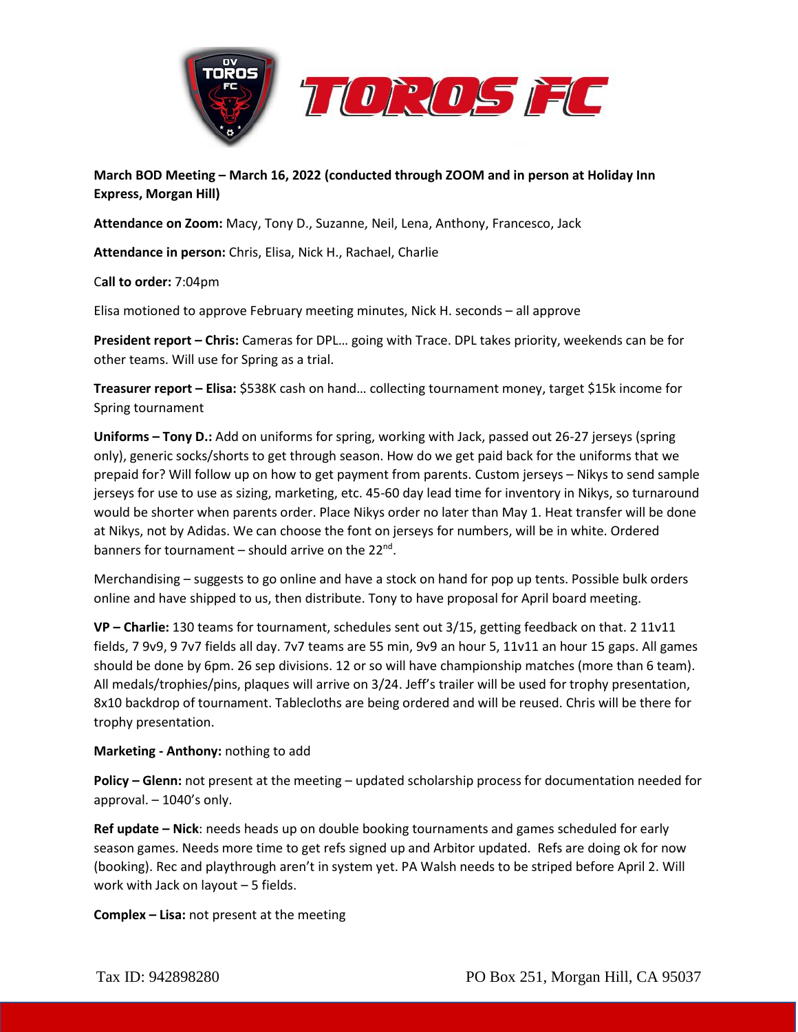



**March BOD Meeting – March 16, 2022 (conducted through ZOOM and in person at Holiday Inn Express, Morgan Hill)**

**Attendance on Zoom:** Macy, Tony D., Suzanne, Neil, Lena, Anthony, Francesco, Jack

**Attendance in person:** Chris, Elisa, Nick H., Rachael, Charlie

C**all to order:** 7:04pm

Elisa motioned to approve February meeting minutes, Nick H. seconds – all approve

**President report – Chris:** Cameras for DPL… going with Trace. DPL takes priority, weekends can be for other teams. Will use for Spring as a trial.

**Treasurer report – Elisa:** \$538K cash on hand… collecting tournament money, target \$15k income for Spring tournament

**Uniforms – Tony D.:** Add on uniforms for spring, working with Jack, passed out 26-27 jerseys (spring only), generic socks/shorts to get through season. How do we get paid back for the uniforms that we prepaid for? Will follow up on how to get payment from parents. Custom jerseys – Nikys to send sample jerseys for use to use as sizing, marketing, etc. 45-60 day lead time for inventory in Nikys, so turnaround would be shorter when parents order. Place Nikys order no later than May 1. Heat transfer will be done at Nikys, not by Adidas. We can choose the font on jerseys for numbers, will be in white. Ordered banners for tournament – should arrive on the 22<sup>nd</sup>.

Merchandising – suggests to go online and have a stock on hand for pop up tents. Possible bulk orders online and have shipped to us, then distribute. Tony to have proposal for April board meeting.

**VP – Charlie:** 130 teams for tournament, schedules sent out 3/15, getting feedback on that. 2 11v11 fields, 7 9v9, 9 7v7 fields all day. 7v7 teams are 55 min, 9v9 an hour 5, 11v11 an hour 15 gaps. All games should be done by 6pm. 26 sep divisions. 12 or so will have championship matches (more than 6 team). All medals/trophies/pins, plaques will arrive on 3/24. Jeff's trailer will be used for trophy presentation, 8x10 backdrop of tournament. Tablecloths are being ordered and will be reused. Chris will be there for trophy presentation.

## **Marketing - Anthony:** nothing to add

**Policy – Glenn:** not present at the meeting – updated scholarship process for documentation needed for approval. – 1040's only.

**Ref update – Nick**: needs heads up on double booking tournaments and games scheduled for early season games. Needs more time to get refs signed up and Arbitor updated. Refs are doing ok for now (booking). Rec and playthrough aren't in system yet. PA Walsh needs to be striped before April 2. Will work with Jack on layout – 5 fields.

**Complex – Lisa:** not present at the meeting